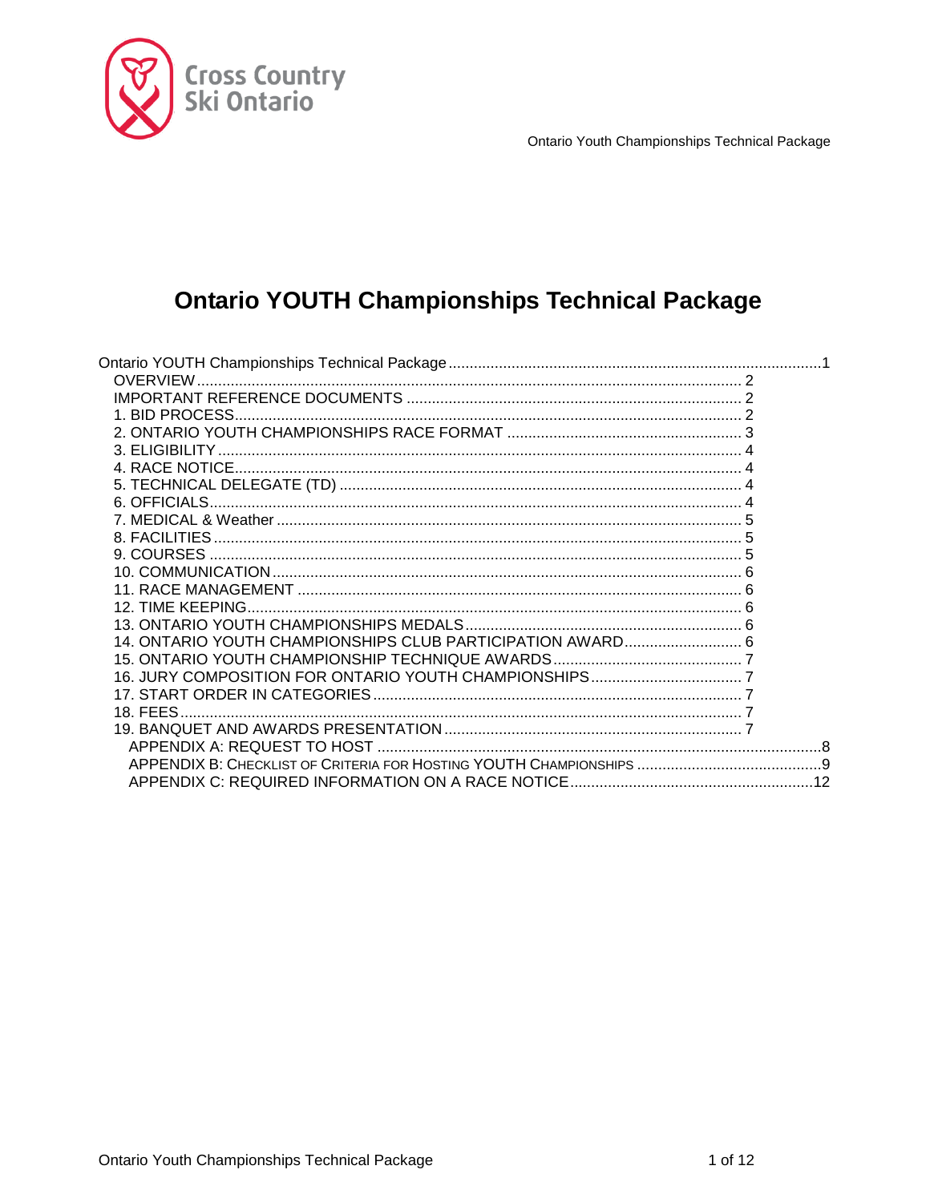

# <span id="page-0-0"></span>**Ontario YOUTH Championships Technical Package**

| 14. ONTARIO YOUTH CHAMPIONSHIPS CLUB PARTICIPATION AWARD 6 |  |
|------------------------------------------------------------|--|
|                                                            |  |
|                                                            |  |
|                                                            |  |
|                                                            |  |
|                                                            |  |
|                                                            |  |
|                                                            |  |
|                                                            |  |
|                                                            |  |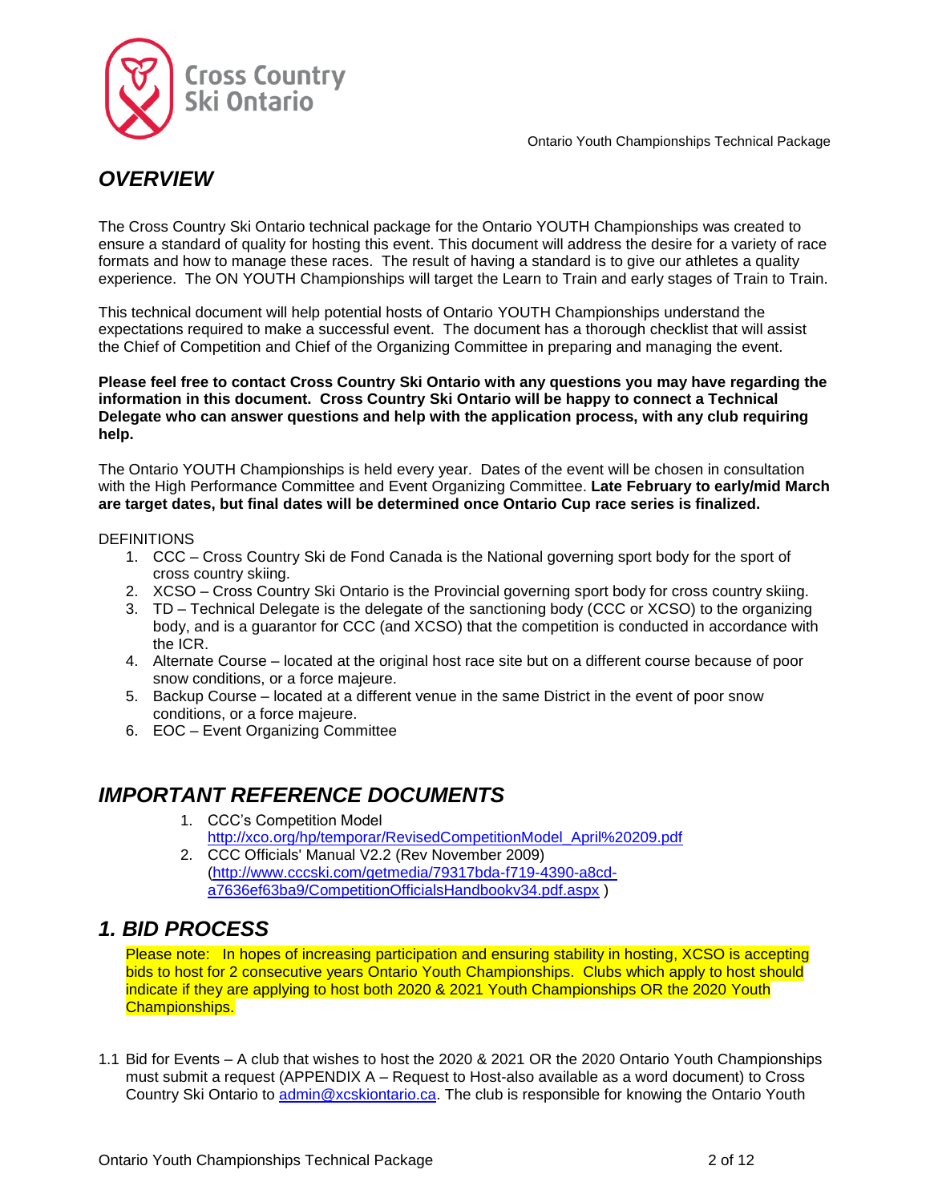

# <span id="page-1-0"></span>*OVERVIEW*

The Cross Country Ski Ontario technical package for the Ontario YOUTH Championships was created to ensure a standard of quality for hosting this event. This document will address the desire for a variety of race formats and how to manage these races. The result of having a standard is to give our athletes a quality experience. The ON YOUTH Championships will target the Learn to Train and early stages of Train to Train.

This technical document will help potential hosts of Ontario YOUTH Championships understand the expectations required to make a successful event. The document has a thorough checklist that will assist the Chief of Competition and Chief of the Organizing Committee in preparing and managing the event.

**Please feel free to contact Cross Country Ski Ontario with any questions you may have regarding the information in this document. Cross Country Ski Ontario will be happy to connect a Technical Delegate who can answer questions and help with the application process, with any club requiring help.**

The Ontario YOUTH Championships is held every year. Dates of the event will be chosen in consultation with the High Performance Committee and Event Organizing Committee. **Late February to early/mid March are target dates, but final dates will be determined once Ontario Cup race series is finalized.**

### **DEFINITIONS**

- 1. CCC Cross Country Ski de Fond Canada is the National governing sport body for the sport of cross country skiing.
- 2. XCSO Cross Country Ski Ontario is the Provincial governing sport body for cross country skiing.
- 3. TD Technical Delegate is the delegate of the sanctioning body (CCC or XCSO) to the organizing body, and is a guarantor for CCC (and XCSO) that the competition is conducted in accordance with the ICR.
- 4. Alternate Course located at the original host race site but on a different course because of poor snow conditions, or a force majeure.
- 5. Backup Course located at a different venue in the same District in the event of poor snow conditions, or a force majeure.
- 6. EOC Event Organizing Committee

# <span id="page-1-1"></span>*IMPORTANT REFERENCE DOCUMENTS*

- 1. CCC's Competition Model [http://xco.org/hp/temporar/RevisedCompetitionModel\\_April%20209.pdf](http://xco.org/hp/temporar/RevisedCompetitionModel_April%20209.pdf)
- 2. CCC Officials' Manual V2.2 (Rev November 2009) [\(http://www.cccski.com/getmedia/79317bda-f719-4390-a8cd](http://www.cccski.com/getmedia/79317bda-f719-4390-a8cd-a7636ef63ba9/CompetitionOfficialsHandbookv34.pdf.aspx)[a7636ef63ba9/CompetitionOfficialsHandbookv34.pdf.aspx](http://www.cccski.com/getmedia/79317bda-f719-4390-a8cd-a7636ef63ba9/CompetitionOfficialsHandbookv34.pdf.aspx) )

### <span id="page-1-2"></span>*1. BID PROCESS*

Please note: In hopes of increasing participation and ensuring stability in hosting, XCSO is accepting bids to host for 2 consecutive years Ontario Youth Championships. Clubs which apply to host should indicate if they are applying to host both 2020 & 2021 Youth Championships OR the 2020 Youth Championships.

1.1 Bid for Events – A club that wishes to host the 2020 & 2021 OR the 2020 Ontario Youth Championships must submit a request (APPENDIX A – Request to Host-also available as a word document) to Cross Country Ski Ontario to [admin@xcskiontario.ca.](mailto:admin@xcskiontario.ca) The club is responsible for knowing the Ontario Youth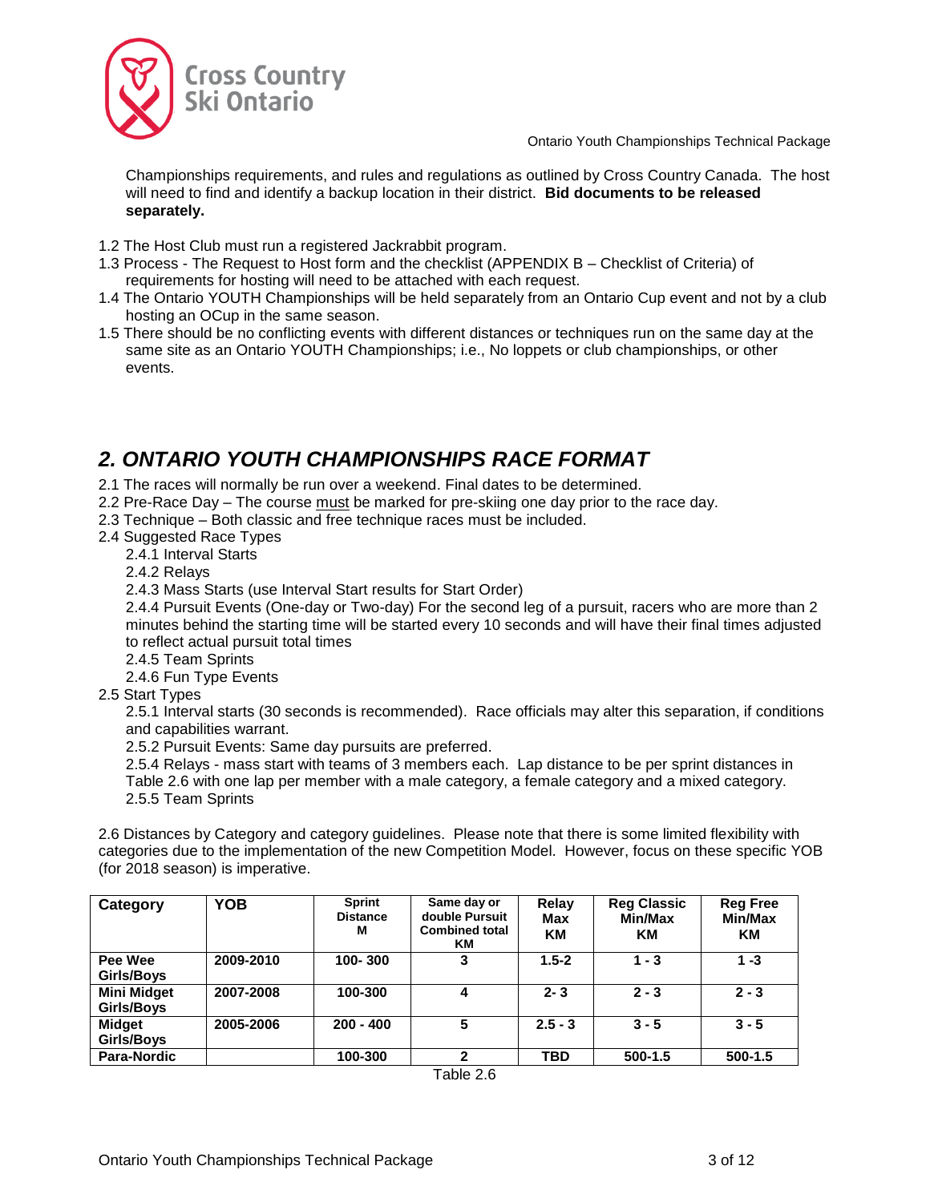

Championships requirements, and rules and regulations as outlined by Cross Country Canada. The host will need to find and identify a backup location in their district. **Bid documents to be released separately.**

- 1.2 The Host Club must run a registered Jackrabbit program.
- 1.3 Process The Request to Host form and the checklist (APPENDIX B Checklist of Criteria) of requirements for hosting will need to be attached with each request.
- 1.4 The Ontario YOUTH Championships will be held separately from an Ontario Cup event and not by a club hosting an OCup in the same season.
- 1.5 There should be no conflicting events with different distances or techniques run on the same day at the same site as an Ontario YOUTH Championships; i.e., No loppets or club championships, or other events.

# <span id="page-2-0"></span>*2. ONTARIO YOUTH CHAMPIONSHIPS RACE FORMAT*

- 2.1 The races will normally be run over a weekend. Final dates to be determined.
- 2.2 Pre-Race Day The course must be marked for pre-skiing one day prior to the race day.
- 2.3 Technique Both classic and free technique races must be included.
- 2.4 Suggested Race Types
	- 2.4.1 Interval Starts
	- 2.4.2 Relays
	- 2.4.3 Mass Starts (use Interval Start results for Start Order)

2.4.4 Pursuit Events (One-day or Two-day) For the second leg of a pursuit, racers who are more than 2 minutes behind the starting time will be started every 10 seconds and will have their final times adjusted to reflect actual pursuit total times

- 2.4.5 Team Sprints
- 2.4.6 Fun Type Events
- 2.5 Start Types

2.5.1 Interval starts (30 seconds is recommended). Race officials may alter this separation, if conditions and capabilities warrant.

2.5.2 Pursuit Events: Same day pursuits are preferred.

2.5.4 Relays - mass start with teams of 3 members each. Lap distance to be per sprint distances in Table 2.6 with one lap per member with a male category, a female category and a mixed category. 2.5.5 Team Sprints

2.6 Distances by Category and category guidelines. Please note that there is some limited flexibility with categories due to the implementation of the new Competition Model. However, focus on these specific YOB (for 2018 season) is imperative.

| Category                         | <b>YOB</b> | <b>Sprint</b><br><b>Distance</b><br>м | Same day or<br>double Pursuit<br><b>Combined total</b><br>KM. | Relay<br>Max<br><b>KM</b> | <b>Reg Classic</b><br>Min/Max<br>KМ | <b>Reg Free</b><br>Min/Max<br>КM |
|----------------------------------|------------|---------------------------------------|---------------------------------------------------------------|---------------------------|-------------------------------------|----------------------------------|
| Pee Wee<br>Girls/Boys            | 2009-2010  | 100-300                               | 3                                                             | $1.5 - 2$                 | $1 - 3$                             | $1 - 3$                          |
| <b>Mini Midget</b><br>Girls/Boys | 2007-2008  | 100-300                               | 4                                                             | $2 - 3$                   | $2 - 3$                             | $2 - 3$                          |
| <b>Midget</b><br>Girls/Boys      | 2005-2006  | $200 - 400$                           |                                                               | $2.5 - 3$                 | $3 - 5$                             | $3 - 5$                          |
| <b>Para-Nordic</b>               |            | 100-300                               | າ                                                             | <b>TBD</b>                | $500-1.5$                           | $500-1.5$                        |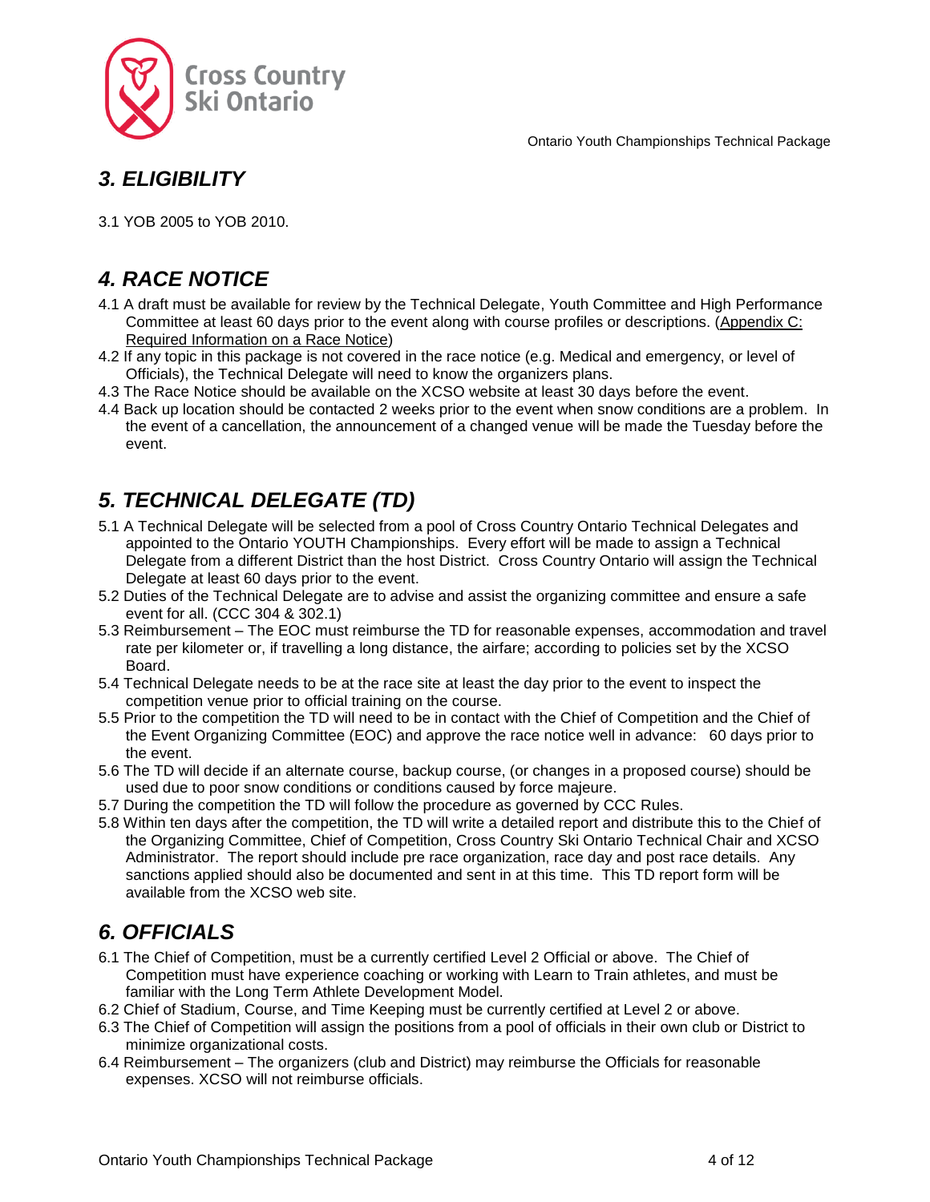

# <span id="page-3-0"></span>*3. ELIGIBILITY*

3.1 YOB 2005 to YOB 2010.

# <span id="page-3-1"></span>*4. RACE NOTICE*

- 4.1 A draft must be available for review by the Technical Delegate, Youth Committee and High Performance Committee at least 60 days prior to the event along with course profiles or descriptions. (Appendix C: Required Information on a Race Notice)
- 4.2 If any topic in this package is not covered in the race notice (e.g. Medical and emergency, or level of Officials), the Technical Delegate will need to know the organizers plans.
- 4.3 The Race Notice should be available on the XCSO website at least 30 days before the event.
- 4.4 Back up location should be contacted 2 weeks prior to the event when snow conditions are a problem. In the event of a cancellation, the announcement of a changed venue will be made the Tuesday before the event.

# <span id="page-3-2"></span>*5. TECHNICAL DELEGATE (TD)*

- 5.1 A Technical Delegate will be selected from a pool of Cross Country Ontario Technical Delegates and appointed to the Ontario YOUTH Championships. Every effort will be made to assign a Technical Delegate from a different District than the host District. Cross Country Ontario will assign the Technical Delegate at least 60 days prior to the event.
- 5.2 Duties of the Technical Delegate are to advise and assist the organizing committee and ensure a safe event for all. (CCC 304 & 302.1)
- 5.3 Reimbursement The EOC must reimburse the TD for reasonable expenses, accommodation and travel rate per kilometer or, if travelling a long distance, the airfare; according to policies set by the XCSO Board.
- 5.4 Technical Delegate needs to be at the race site at least the day prior to the event to inspect the competition venue prior to official training on the course.
- 5.5 Prior to the competition the TD will need to be in contact with the Chief of Competition and the Chief of the Event Organizing Committee (EOC) and approve the race notice well in advance: 60 days prior to the event.
- 5.6 The TD will decide if an alternate course, backup course, (or changes in a proposed course) should be used due to poor snow conditions or conditions caused by force majeure.
- 5.7 During the competition the TD will follow the procedure as governed by CCC Rules.
- 5.8 Within ten days after the competition, the TD will write a detailed report and distribute this to the Chief of the Organizing Committee, Chief of Competition, Cross Country Ski Ontario Technical Chair and XCSO Administrator. The report should include pre race organization, race day and post race details. Any sanctions applied should also be documented and sent in at this time. This TD report form will be available from the XCSO web site.

# <span id="page-3-3"></span>*6. OFFICIALS*

- 6.1 The Chief of Competition, must be a currently certified Level 2 Official or above. The Chief of Competition must have experience coaching or working with Learn to Train athletes, and must be familiar with the Long Term Athlete Development Model.
- 6.2 Chief of Stadium, Course, and Time Keeping must be currently certified at Level 2 or above.
- 6.3 The Chief of Competition will assign the positions from a pool of officials in their own club or District to minimize organizational costs.
- 6.4 Reimbursement The organizers (club and District) may reimburse the Officials for reasonable expenses. XCSO will not reimburse officials.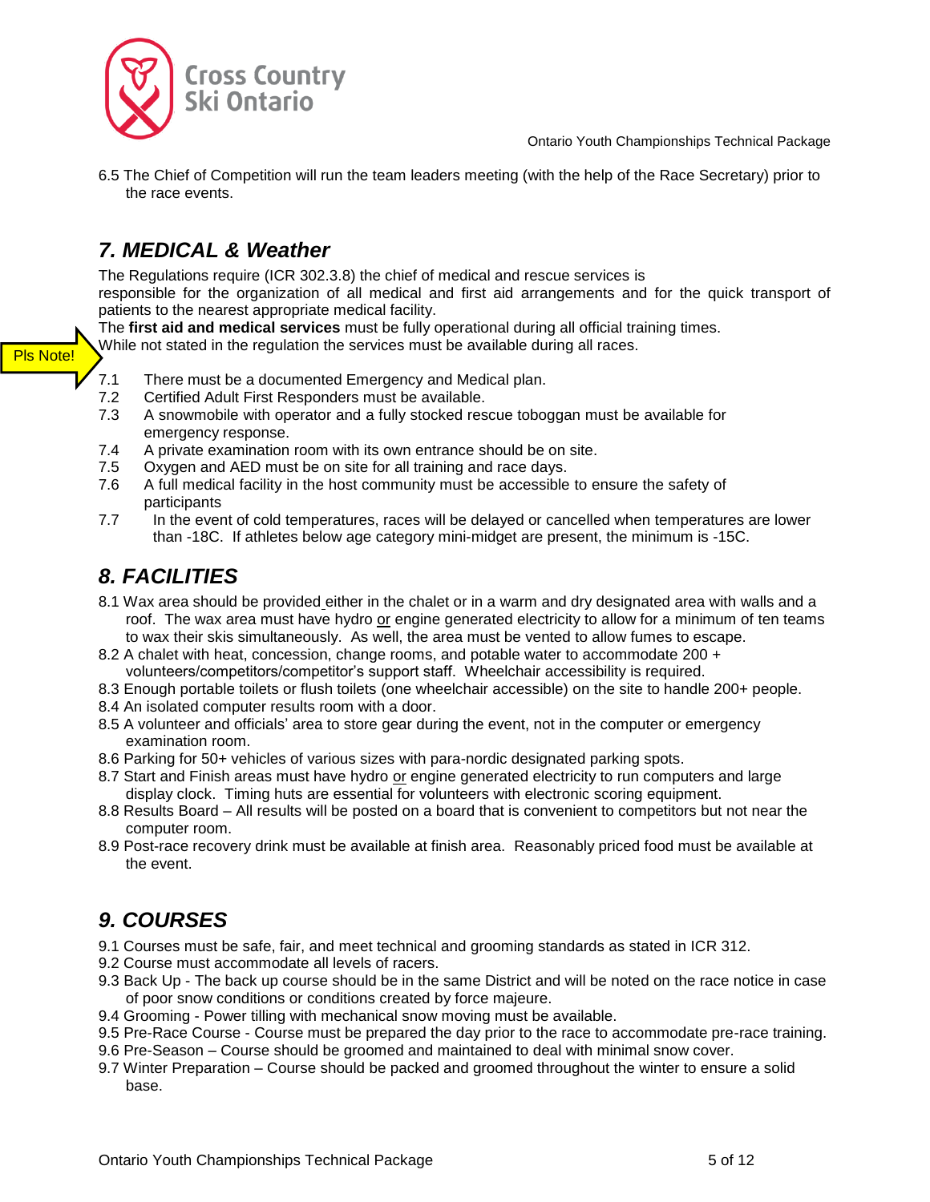



6.5 The Chief of Competition will run the team leaders meeting (with the help of the Race Secretary) prior to the race events.

# <span id="page-4-0"></span>*7. MEDICAL & Weather*

The Regulations require (ICR 302.3.8) the chief of medical and rescue services is responsible for the organization of all medical and first aid arrangements and for the quick transport of patients to the nearest appropriate medical facility.

The **first aid and medical services** must be fully operational during all official training times.

While not stated in the regulation the services must be available during all races.

- 7.1 There must be a documented Emergency and Medical plan.
- 7.2 Certified Adult First Responders must be available.
- 7.3 A snowmobile with operator and a fully stocked rescue toboggan must be available for emergency response.
- 7.4 A private examination room with its own entrance should be on site.
- 7.5 Oxygen and AED must be on site for all training and race days.
- 7.6 A full medical facility in the host community must be accessible to ensure the safety of participants
- 7.7 In the event of cold temperatures, races will be delayed or cancelled when temperatures are lower than -18C. If athletes below age category mini-midget are present, the minimum is -15C.

# <span id="page-4-1"></span>*8. FACILITIES*

Pls Note!

- 8.1 Wax area should be provided either in the chalet or in a warm and dry designated area with walls and a roof. The wax area must have hydro or engine generated electricity to allow for a minimum of ten teams to wax their skis simultaneously. As well, the area must be vented to allow fumes to escape.
- 8.2 A chalet with heat, concession, change rooms, and potable water to accommodate 200 + volunteers/competitors/competitor's support staff. Wheelchair accessibility is required.
- 8.3 Enough portable toilets or flush toilets (one wheelchair accessible) on the site to handle 200+ people.
- 8.4 An isolated computer results room with a door.
- 8.5 A volunteer and officials' area to store gear during the event, not in the computer or emergency examination room.
- 8.6 Parking for 50+ vehicles of various sizes with para-nordic designated parking spots.
- 8.7 Start and Finish areas must have hydro or engine generated electricity to run computers and large display clock. Timing huts are essential for volunteers with electronic scoring equipment.
- 8.8 Results Board All results will be posted on a board that is convenient to competitors but not near the computer room.
- 8.9 Post-race recovery drink must be available at finish area. Reasonably priced food must be available at the event.

# <span id="page-4-2"></span>*9. COURSES*

- 9.1 Courses must be safe, fair, and meet technical and grooming standards as stated in ICR 312.
- 9.2 Course must accommodate all levels of racers.
- 9.3 Back Up The back up course should be in the same District and will be noted on the race notice in case of poor snow conditions or conditions created by force majeure.
- 9.4 Grooming Power tilling with mechanical snow moving must be available.
- 9.5 Pre-Race Course Course must be prepared the day prior to the race to accommodate pre-race training.
- 9.6 Pre-Season Course should be groomed and maintained to deal with minimal snow cover.
- 9.7 Winter Preparation Course should be packed and groomed throughout the winter to ensure a solid base.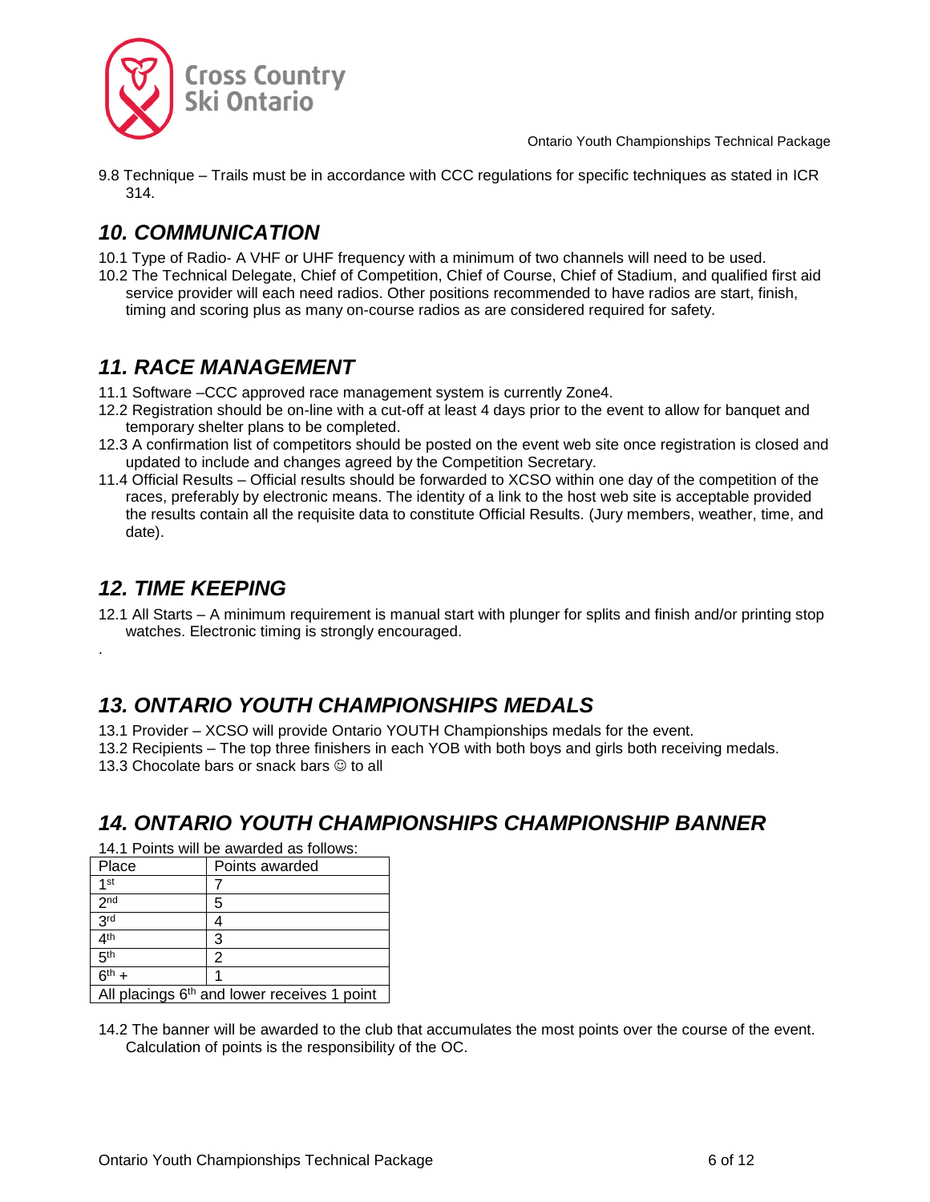

9.8 Technique – Trails must be in accordance with CCC regulations for specific techniques as stated in ICR 314.

# <span id="page-5-0"></span>*10. COMMUNICATION*

- 10.1 Type of Radio- A VHF or UHF frequency with a minimum of two channels will need to be used.
- 10.2 The Technical Delegate, Chief of Competition, Chief of Course, Chief of Stadium, and qualified first aid service provider will each need radios. Other positions recommended to have radios are start, finish, timing and scoring plus as many on-course radios as are considered required for safety.

### <span id="page-5-1"></span>*11. RACE MANAGEMENT*

- 11.1 Software –CCC approved race management system is currently Zone4.
- 12.2 Registration should be on-line with a cut-off at least 4 days prior to the event to allow for banquet and temporary shelter plans to be completed.
- 12.3 A confirmation list of competitors should be posted on the event web site once registration is closed and updated to include and changes agreed by the Competition Secretary.
- 11.4 Official Results Official results should be forwarded to XCSO within one day of the competition of the races, preferably by electronic means. The identity of a link to the host web site is acceptable provided the results contain all the requisite data to constitute Official Results. (Jury members, weather, time, and date).

### <span id="page-5-2"></span>*12. TIME KEEPING*

.

12.1 All Starts – A minimum requirement is manual start with plunger for splits and finish and/or printing stop watches. Electronic timing is strongly encouraged.

# <span id="page-5-3"></span>*13. ONTARIO YOUTH CHAMPIONSHIPS MEDALS*

- 13.1 Provider XCSO will provide Ontario YOUTH Championships medals for the event.
- 13.2 Recipients The top three finishers in each YOB with both boys and girls both receiving medals.

13.3 Chocolate bars or snack bars  $\odot$  to all

### <span id="page-5-4"></span>*14. ONTARIO YOUTH CHAMPIONSHIPS CHAMPIONSHIP BANNER*

14.1 Points will be awarded as follows:

| Place                                                   | Points awarded |  |
|---------------------------------------------------------|----------------|--|
| 1 <sub>st</sub>                                         |                |  |
| 2 <sub>nd</sub>                                         | 5              |  |
| 3 <sup>rd</sup>                                         |                |  |
| 4 <sup>th</sup>                                         | 3              |  |
| 5 <sup>th</sup>                                         | 2              |  |
| $6^{th}$ +                                              |                |  |
| All placings 6 <sup>th</sup> and lower receives 1 point |                |  |

14.2 The banner will be awarded to the club that accumulates the most points over the course of the event. Calculation of points is the responsibility of the OC.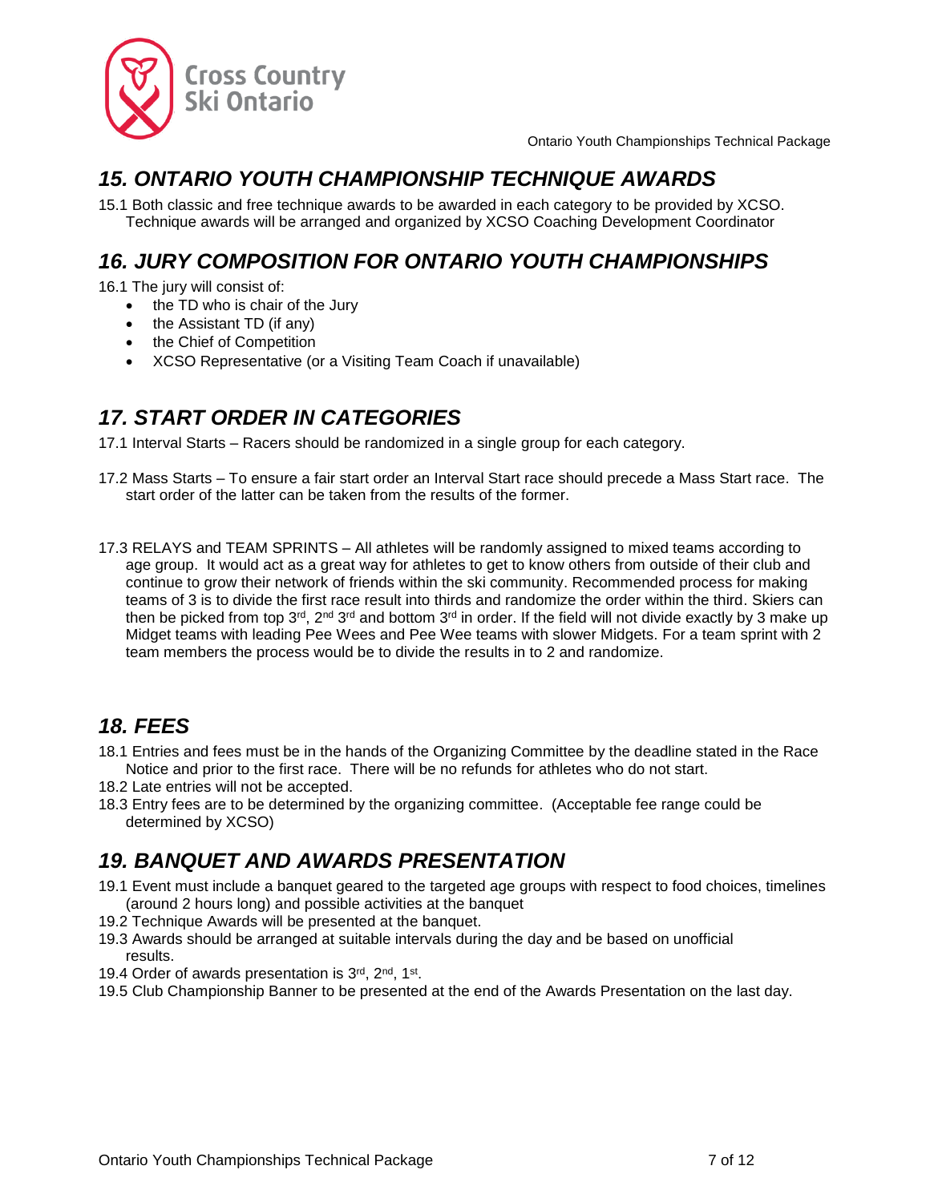

### <span id="page-6-0"></span>*15. ONTARIO YOUTH CHAMPIONSHIP TECHNIQUE AWARDS*

15.1 Both classic and free technique awards to be awarded in each category to be provided by XCSO. Technique awards will be arranged and organized by XCSO Coaching Development Coordinator

# <span id="page-6-1"></span>*16. JURY COMPOSITION FOR ONTARIO YOUTH CHAMPIONSHIPS*

16.1 The jury will consist of:

- the TD who is chair of the Jury
- the Assistant TD (if any)
- the Chief of Competition
- XCSO Representative (or a Visiting Team Coach if unavailable)

# <span id="page-6-2"></span>*17. START ORDER IN CATEGORIES*

17.1 Interval Starts – Racers should be randomized in a single group for each category.

- 17.2 Mass Starts To ensure a fair start order an Interval Start race should precede a Mass Start race. The start order of the latter can be taken from the results of the former.
- 17.3 RELAYS and TEAM SPRINTS All athletes will be randomly assigned to mixed teams according to age group. It would act as a great way for athletes to get to know others from outside of their club and continue to grow their network of friends within the ski community. Recommended process for making teams of 3 is to divide the first race result into thirds and randomize the order within the third. Skiers can then be picked from top 3<sup>rd</sup>, 2<sup>nd</sup> 3<sup>rd</sup> and bottom 3<sup>rd</sup> in order. If the field will not divide exactly by 3 make up Midget teams with leading Pee Wees and Pee Wee teams with slower Midgets. For a team sprint with 2 team members the process would be to divide the results in to 2 and randomize.

# <span id="page-6-3"></span>*18. FEES*

- 18.1 Entries and fees must be in the hands of the Organizing Committee by the deadline stated in the Race Notice and prior to the first race. There will be no refunds for athletes who do not start.
- 18.2 Late entries will not be accepted.
- 18.3 Entry fees are to be determined by the organizing committee. (Acceptable fee range could be determined by XCSO)

# <span id="page-6-4"></span>*19. BANQUET AND AWARDS PRESENTATION*

- 19.1 Event must include a banquet geared to the targeted age groups with respect to food choices, timelines (around 2 hours long) and possible activities at the banquet
- 19.2 Technique Awards will be presented at the banquet.
- 19.3 Awards should be arranged at suitable intervals during the day and be based on unofficial results.
- 19.4 Order of awards presentation is 3rd, 2nd, 1st.
- 19.5 Club Championship Banner to be presented at the end of the Awards Presentation on the last day.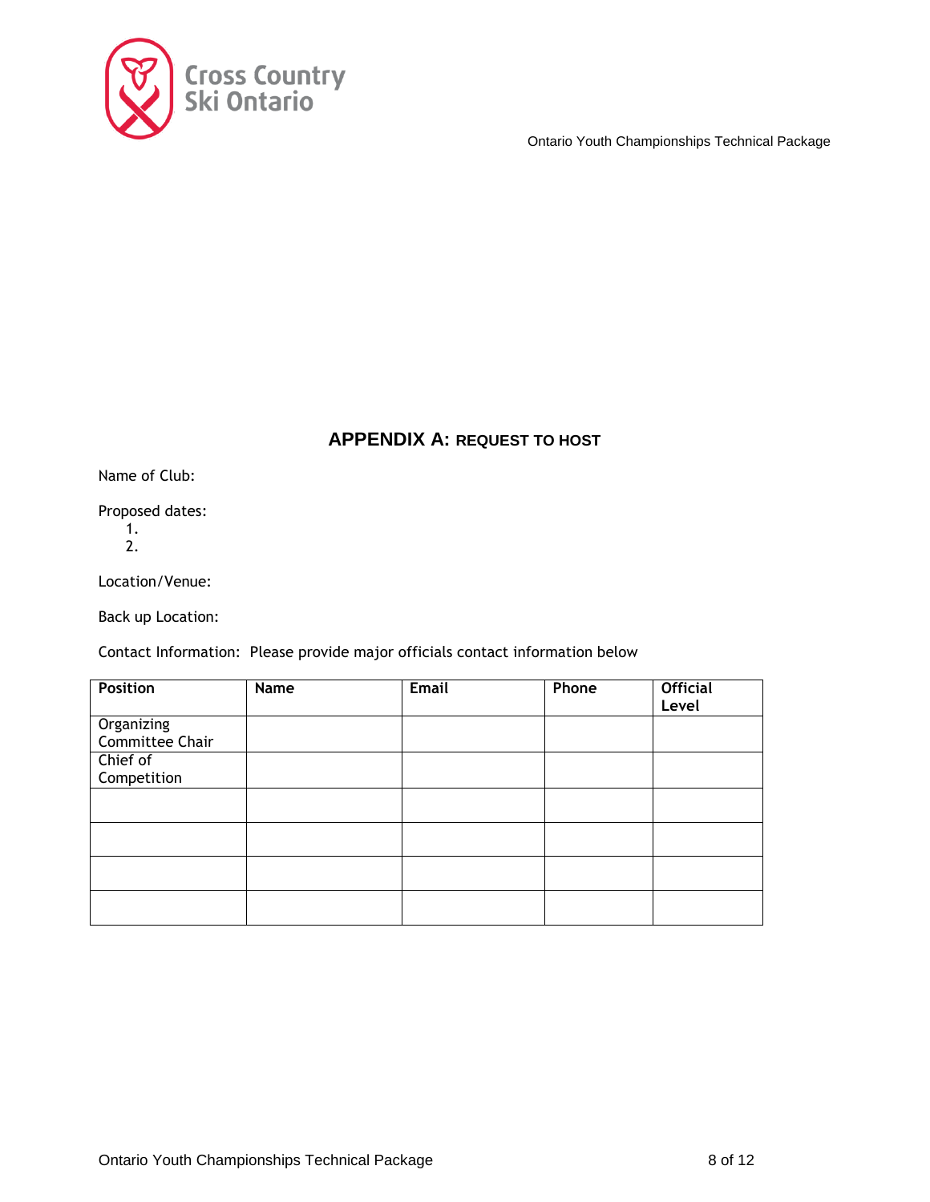

### **APPENDIX A: REQUEST TO HOST**

<span id="page-7-0"></span>Name of Club:

Proposed dates:

1. 2.

Location/Venue:

Back up Location:

Contact Information: Please provide major officials contact information below

| <b>Position</b> | Name | Email | Phone | <b>Official</b><br>Level |
|-----------------|------|-------|-------|--------------------------|
| Organizing      |      |       |       |                          |
| Committee Chair |      |       |       |                          |
| Chief of        |      |       |       |                          |
| Competition     |      |       |       |                          |
|                 |      |       |       |                          |
|                 |      |       |       |                          |
|                 |      |       |       |                          |
|                 |      |       |       |                          |
|                 |      |       |       |                          |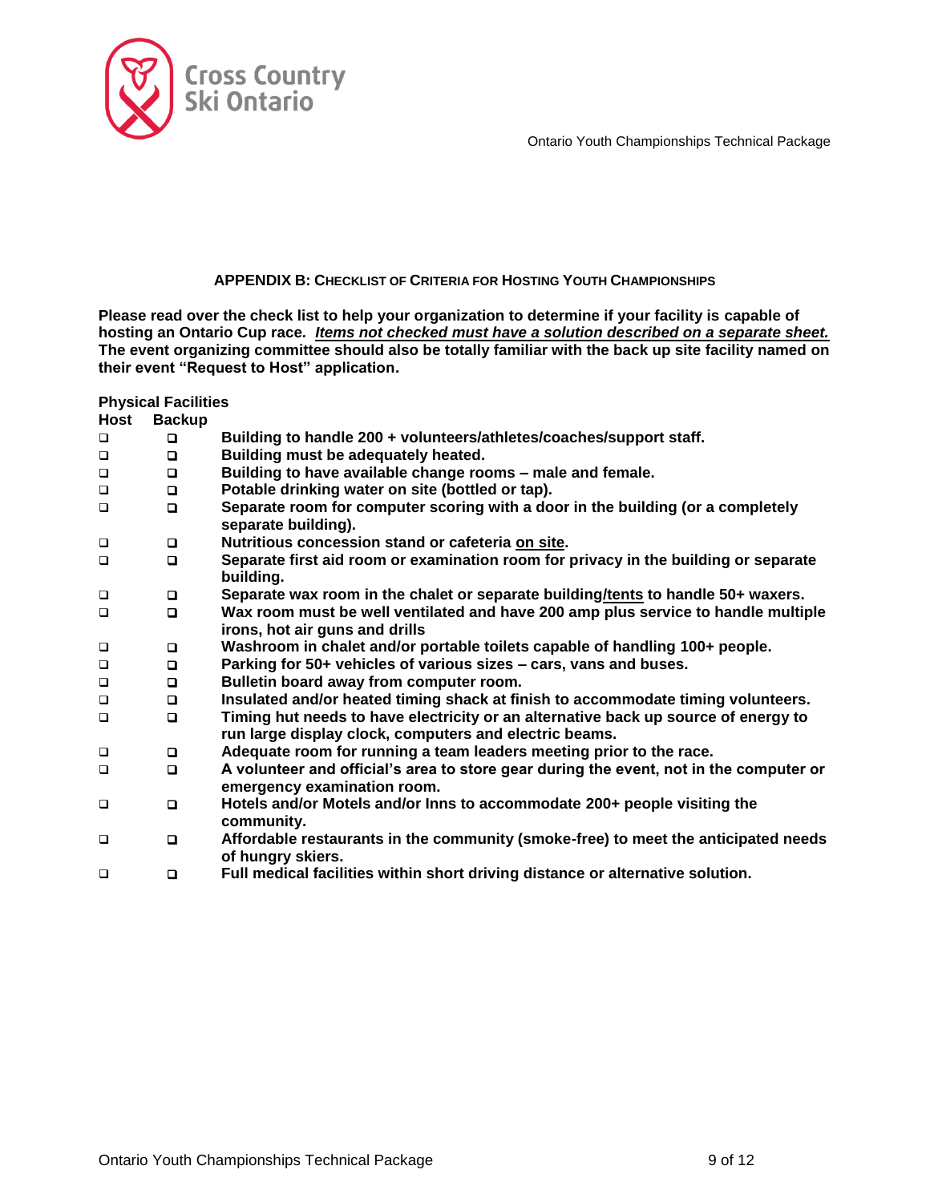

### **APPENDIX B: CHECKLIST OF CRITERIA FOR HOSTING YOUTH CHAMPIONSHIPS**

<span id="page-8-0"></span>**Please read over the check list to help your organization to determine if your facility is capable of hosting an Ontario Cup race***. Items not checked must have a solution described on a separate sheet.*  **The event organizing committee should also be totally familiar with the back up site facility named on their event "Request to Host" application.**

#### **Physical Facilities**

| Host   | <b>Backup</b> |                                                                                                                                              |
|--------|---------------|----------------------------------------------------------------------------------------------------------------------------------------------|
| $\Box$ | o             | Building to handle 200 + volunteers/athletes/coaches/support staff.                                                                          |
| $\Box$ | $\Box$        | Building must be adequately heated.                                                                                                          |
| $\Box$ | o             | Building to have available change rooms - male and female.                                                                                   |
| $\Box$ | $\Box$        | Potable drinking water on site (bottled or tap).                                                                                             |
| $\Box$ | $\Box$        | Separate room for computer scoring with a door in the building (or a completely<br>separate building).                                       |
| $\Box$ | o             | Nutritious concession stand or cafeteria on site.                                                                                            |
| $\Box$ | $\Box$        | Separate first aid room or examination room for privacy in the building or separate<br>building.                                             |
| $\Box$ | o             | Separate wax room in the chalet or separate building/tents to handle 50+ waxers.                                                             |
| $\Box$ | $\Box$        | Wax room must be well ventilated and have 200 amp plus service to handle multiple<br>irons, hot air guns and drills                          |
| $\Box$ | o             | Washroom in chalet and/or portable toilets capable of handling 100+ people.                                                                  |
| $\Box$ | $\Box$        | Parking for 50+ vehicles of various sizes – cars, vans and buses.                                                                            |
| $\Box$ | o             | Bulletin board away from computer room.                                                                                                      |
| $\Box$ | $\Box$        | Insulated and/or heated timing shack at finish to accommodate timing volunteers.                                                             |
| $\Box$ | $\Box$        | Timing hut needs to have electricity or an alternative back up source of energy to<br>run large display clock, computers and electric beams. |
| $\Box$ | o             | Adequate room for running a team leaders meeting prior to the race.                                                                          |
| $\Box$ | o             | A volunteer and official's area to store gear during the event, not in the computer or<br>emergency examination room.                        |
| $\Box$ | o             | Hotels and/or Motels and/or lnns to accommodate 200+ people visiting the<br>community.                                                       |
| $\Box$ | o             | Affordable restaurants in the community (smoke-free) to meet the anticipated needs<br>of hungry skiers.                                      |
| $\Box$ | o             | Full medical facilities within short driving distance or alternative solution.                                                               |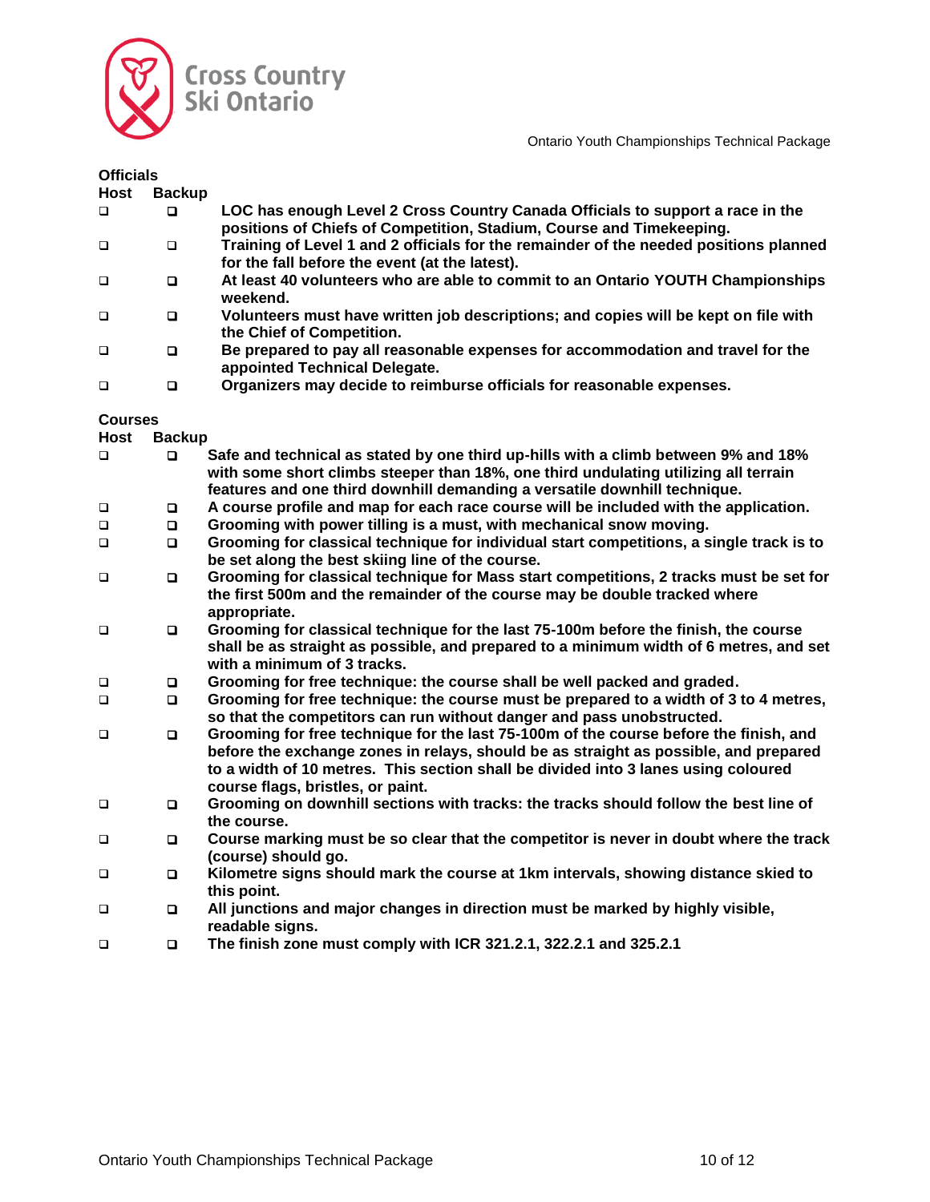

| <b>Officials</b> |               |                                                                                                                                                        |
|------------------|---------------|--------------------------------------------------------------------------------------------------------------------------------------------------------|
| Host             | <b>Backup</b> |                                                                                                                                                        |
| □                | О             | LOC has enough Level 2 Cross Country Canada Officials to support a race in the<br>positions of Chiefs of Competition, Stadium, Course and Timekeeping. |
| □                | □             | Training of Level 1 and 2 officials for the remainder of the needed positions planned<br>for the fall before the event (at the latest).                |
| $\Box$           | □             | At least 40 volunteers who are able to commit to an Ontario YOUTH Championships<br>weekend.                                                            |
| $\Box$           | o             | Volunteers must have written job descriptions; and copies will be kept on file with<br>the Chief of Competition.                                       |
| $\Box$           | O             | Be prepared to pay all reasonable expenses for accommodation and travel for the<br>appointed Technical Delegate.                                       |
| $\Box$           | □             | Organizers may decide to reimburse officials for reasonable expenses.                                                                                  |

#### **Courses**

**Host Backup**

| $\Box$ | $\Box$ | Safe and technical as stated by one third up-hills with a climb between 9% and 18%<br>with some short climbs steeper than 18%, one third undulating utilizing all terrain<br>features and one third downhill demanding a versatile downhill technique.                                                   |
|--------|--------|----------------------------------------------------------------------------------------------------------------------------------------------------------------------------------------------------------------------------------------------------------------------------------------------------------|
| $\Box$ | O      | A course profile and map for each race course will be included with the application.                                                                                                                                                                                                                     |
| $\Box$ | O      | Grooming with power tilling is a must, with mechanical snow moving.                                                                                                                                                                                                                                      |
| $\Box$ | $\Box$ | Grooming for classical technique for individual start competitions, a single track is to<br>be set along the best skiing line of the course.                                                                                                                                                             |
| $\Box$ | O      | Grooming for classical technique for Mass start competitions, 2 tracks must be set for<br>the first 500m and the remainder of the course may be double tracked where<br>appropriate.                                                                                                                     |
| $\Box$ | o      | Grooming for classical technique for the last 75-100m before the finish, the course<br>shall be as straight as possible, and prepared to a minimum width of 6 metres, and set<br>with a minimum of 3 tracks.                                                                                             |
| $\Box$ | o      | Grooming for free technique: the course shall be well packed and graded.                                                                                                                                                                                                                                 |
| $\Box$ | O      | Grooming for free technique: the course must be prepared to a width of 3 to 4 metres,<br>so that the competitors can run without danger and pass unobstructed.                                                                                                                                           |
| $\Box$ | O      | Grooming for free technique for the last 75-100m of the course before the finish, and<br>before the exchange zones in relays, should be as straight as possible, and prepared<br>to a width of 10 metres. This section shall be divided into 3 lanes using coloured<br>course flags, bristles, or paint. |
| $\Box$ | O      | Grooming on downhill sections with tracks: the tracks should follow the best line of<br>the course.                                                                                                                                                                                                      |
| $\Box$ | $\Box$ | Course marking must be so clear that the competitor is never in doubt where the track<br>(course) should go.                                                                                                                                                                                             |
| $\Box$ | o      | Kilometre signs should mark the course at 1km intervals, showing distance skied to<br>this point.                                                                                                                                                                                                        |
| $\Box$ | o      | All junctions and major changes in direction must be marked by highly visible,<br>readable signs.                                                                                                                                                                                                        |
| $\Box$ | O      | The finish zone must comply with ICR 321.2.1, 322.2.1 and 325.2.1                                                                                                                                                                                                                                        |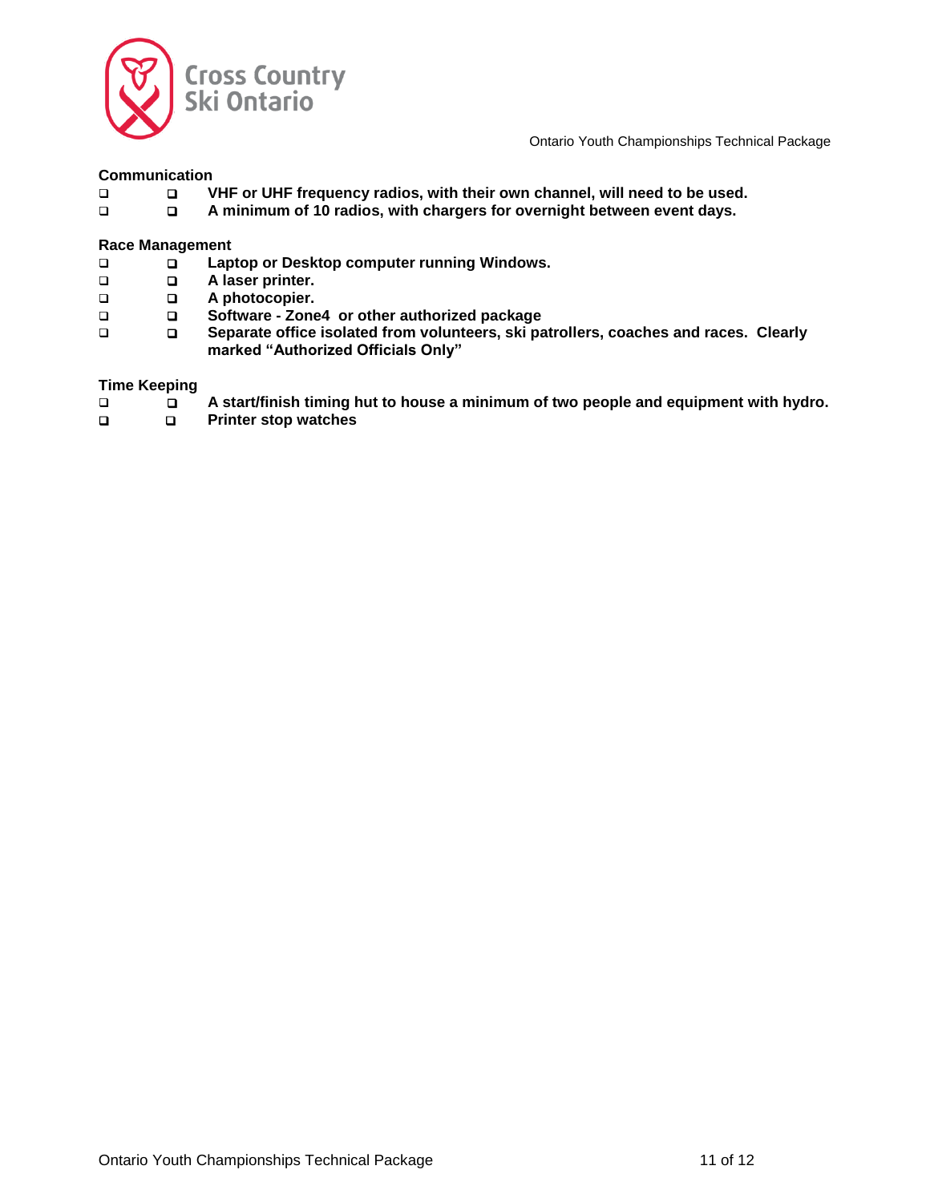

#### **Communication**

- **VHF or UHF frequency radios, with their own channel, will need to be used.**
- **A minimum of 10 radios, with chargers for overnight between event days.**

#### **Race Management**

- **Laptop or Desktop computer running Windows.**
- **A laser printer.**
- **A photocopier.**
- **Software - Zone4 or other authorized package**
- **Separate office isolated from volunteers, ski patrollers, coaches and races. Clearly marked "Authorized Officials Only"**

#### **Time Keeping**

- **A start/finish timing hut to house a minimum of two people and equipment with hydro.**
- **Printer stop watches**